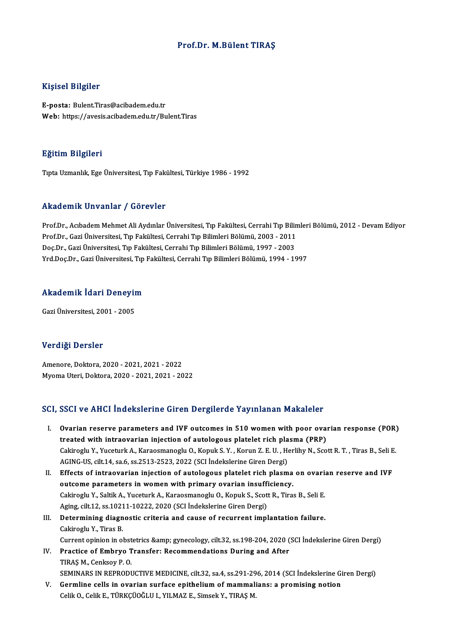### Prof.Dr. M.Bülent TIRAŞ

### Kişisel Bilgiler

E-posta: Bulent.Tiras@acibadem.edu.tr Web: https://avesis.acibadem.edu.tr/Bulent.Tiras

### Eğitim Bilgileri

Tıpta Uzmanlık, Ege Üniversitesi, Tıp Fakültesi, Türkiye 1986 - 1992

### Akademik Unvanlar / Görevler

Akademik Unvanlar / Görevler<br>Prof.Dr., Acıbadem Mehmet Ali Aydınlar Üniversitesi, Tıp Fakültesi, Cerrahi Tıp Bilimleri Bölümü, 2012 - Devam Ediyor<br>Prof.Dr., Cari Üniversitesi, Tıp Fakültesi, Cerrahi Tıp Bilimleri Bölümü, 2 rındu olirin "Əliv diridi" / "döv ovver"<br>Prof.Dr., Acıbadem Mehmet Ali Aydınlar Üniversitesi, Tıp Fakültesi, Cerrahi Tıp Bilin<br>Prof.Dr., Gazi Üniversitesi,Tıp Fakültesi, Cerrahi Tıp Bilimleri Bölümü, 2003 - 2011<br>Des.Dr., G Prof.Dr., Acıbadem Mehmet Ali Aydınlar Üniversitesi, Tıp Fakültesi, Cerrahi Tıp Bili<br>Prof.Dr., Gazi Üniversitesi, Tıp Fakültesi, Cerrahi Tıp Bilimleri Bölümü, 2003 - 2011<br>Doç.Dr., Gazi Üniversitesi, Tıp Fakültesi, Cerrahi Prof.Dr., Gazi Üniversitesi, Tıp Fakültesi, Cerrahi Tıp Bilimleri Bölümü, 2003 - 2011<br>Doç.Dr., Gazi Üniversitesi, Tıp Fakültesi, Cerrahi Tıp Bilimleri Bölümü, 1997 - 2003<br>Yrd.Doç.Dr., Gazi Üniversitesi, Tıp Fakültesi, Cerr

# rra.boç.br., dazı oniversitesi, 1ip<br>Akademik İdari Deneyim <mark>Akademik İdari Deneyir</mark><br><sub>Gazi Üniversitesi, 2001 - 2005</sub>

Gazi Üniversitesi, 2001 - 2005<br>Verdiği Dersler

Amenore,Doktora,2020 -2021,2021 -2022 MyomaUteri,Doktora,2020 -2021,2021 -2022

### SCI, SSCI ve AHCI İndekslerine Giren Dergilerde Yayınlanan Makaleler

- CI, SSCI ve AHCI İndekslerine Giren Dergilerde Yayınlanan Makaleler<br>I. Ovarian reserve parameters and IVF outcomes in 510 women with poor ovarian response (POR)<br>treated with intreavarian injection of autologaus platelet ri oper ve finen intended intended and the engineered ray intended intrinsictor<br>Ovarian reserve parameters and IVF outcomes in 510 women with poor ovar<br>treated with intraovarian injection of autologous platelet rich plasma (P Ovarian reserve parameters and IVF outcomes in 510 women with poor ovarian response (POR)<br>treated with intraovarian injection of autologous platelet rich plasma (PRP)<br>Cakiroglu Y., Yuceturk A., Karaosmanoglu O., Kopuk S. Y treated with intraovarian injection of autologous platelet rich plasma (PRP)<br>Cakiroglu Y., Yuceturk A., Karaosmanoglu O., Kopuk S. Y. , Korun Z. E. U. , Herlihy N., Scott R. T. , Tiras B., Seli E.<br>AGING-US, cilt.14, sa.6, Cakiroglu Y., Yuceturk A., Karaosmanoglu O., Kopuk S. Y. , Korun Z. E. U. , Herlihy N., Scott R. T. , Tiras B., Seli E<br>AGING-US, cilt.14, sa.6, ss.2513-2523, 2022 (SCI İndekslerine Giren Dergi)<br>II. Effects of intraovarian
- AGING-US, cilt.14, sa.6, ss.2513-2523, 2022 (SCI Indekslerine Giren Dergi)<br>Effects of intraovarian injection of autologous platelet rich plasma<br>outcome parameters in women with primary ovarian insufficiency.<br>Cakingslu Y, S Effects of intraovarian injection of autologous platelet rich plasma on ovaria<br>outcome parameters in women with primary ovarian insufficiency.<br>Cakiroglu Y., Saltik A., Yuceturk A., Karaosmanoglu O., Kopuk S., Scott R., Tir outcome parameters in women with primary ovarian insufficakiroglu Y., Saltik A., Yuceturk A., Karaosmanoglu O., Kopuk S., Scot<br>Aging, cilt.12, ss.10211-10222, 2020 (SCI İndekslerine Giren Dergi)<br>Determining diagnostis suit Cakiroglu Y., Saltik A., Yuceturk A., Karaosmanoglu O., Kopuk S., Scott R., Tiras B., Seli E.<br>Aging, cilt.12, ss.10211-10222, 2020 (SCI İndekslerine Giren Dergi)<br>III. Determining diagnostic criteria and cause of recurrent
- Aging, cilt.12, ss.10211-10222, 2020 (SCI İndekslerine Giren Dergi)<br>III. Determining diagnostic criteria and cause of recurrent implantation failure.<br>Cakiroglu Y., Tiras B. Determining diagnostic criteria and cause of recurrent implantation failure.<br>Cakiroglu Y., Tiras B.<br>Current opinion in obstetrics &amp; gynecology, cilt.32, ss.198-204, 2020 (SCI İndekslerine Giren Dergi)<br>Prestise of Embru
- IV. Practice of Embryo Transfer: Recommendations During and After Current opinion in obst<br>Practice of Embryo T<br>TIRAŞ M., Cenksoy P. O.<br>SEMINARS IN REPRODI SEMINARS IN REPRODUCTIVE MEDICINE, cilt.32, sa.4, ss.291-296, 2014 (SCI İndekslerine Giren Dergi)
- V. Germline cells in ovarian surface epithelium of mammalians: a promising notion CelikO.,CelikE.,TÜRKÇÜOĞLUI.,YILMAZ E.,SimsekY.,TIRAŞM.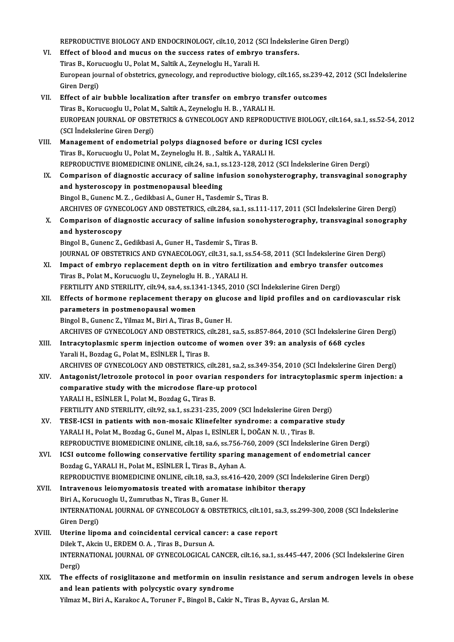REPRODUCTIVE BIOLOGY AND ENDOCRINOLOGY, cilt.10, 2012 (SCI İndekslerine Giren Dergi)<br>Effect of blaad and musus an the sussess rates of embrus transfers

- REPRODUCTIVE BIOLOGY AND ENDOCRINOLOGY, cilt.10, 2012 (SCI İndeksler:<br>VI. Effect of blood and mucus on the success rates of embryo transfers. REPRODUCTIVE BIOLOGY AND ENDOCRINOLOGY, cilt.10, 2012 (State of blood and mucus on the success rates of embryor<br>Tiras B., Korucuoglu U., Polat M., Saltik A., Zeyneloglu H., Yarali H.<br>European journal of obstatries, superco VI. Effect of blood and mucus on the success rates of embryo transfers.<br>Tiras B., Korucuoglu U., Polat M., Saltik A., Zeyneloglu H., Yarali H.<br>European journal of obstetrics, gynecology, and reproductive biology, cilt.165, Tiras B., Korucuoglu U., Polat M., Saltik A., Zeyneloglu H., Yarali H. European journal of obstetrics, gynecology, and reproductive biology, cilt.165, ss.239-4<br>Giren Dergi)<br>VII. Effect of air bubble localization after transfer on embryo transfer outcomes<br>Tipes B. Korveyorly U. Bolat M. Saltik
- Giren Dergi)<br>Effect of air bubble localization after transfer on embryo tran<br>Tiras B., Korucuoglu U., Polat M., Saltik A., Zeyneloglu H. B. , YARALI H.<br>FUROREAN JOURNAL OF ORSTETRICS & CYNECOLOCY AND RERRODL EUROPEAN JOURNAL OF OBSTETRICS & GYNECOLOGY AND REPRODUCTIVE BIOLOGY, cilt.164, sa.1, ss.52-54, 2012<br>(SCI İndekslerine Giren Dergi) Tiras B., Korucuoglu U., Polat M., Saltik A., Zeyneloglu H. B., YARALI H. EUROPEAN JOURNAL OF OBSTETRICS & GYNECOLOGY AND REPRODUCTIVE BIOLOGY<br>(SCI Indekslerine Giren Dergi)<br>VIII. Management of endometrial polyps diagnosed before or during ICSI cycles<br>Tines B. Komenogly II. Bolat M. Zaumelogly H
- (SCI İndekslerine Giren Dergi)<br>Management of endometrial polyps diagnosed before or durin<br>Tiras B., Korucuoglu U., Polat M., Zeyneloglu H. B. , Saltik A., YARALI H.<br>REPRODUCTIVE PIOMEDICINE ONI INE. silt 24, ss 1, ss 122, Tiras B., Korucuoglu U., Polat M., Zeyneloglu H. B. , Saltik A., YARALI H.<br>REPRODUCTIVE BIOMEDICINE ONLINE, cilt.24, sa.1, ss.123-128, 2012 (SCI İndekslerine Giren Dergi) Tiras B., Korucuoglu U., Polat M., Zeyneloglu H. B. , Saltik A., YARALI H.<br>REPRODUCTIVE BIOMEDICINE ONLINE, cilt.24, sa.1, ss.123-128, 2012 (SCI İndekslerine Giren Dergi)<br>IX. Comparison of diagnostic accuracy of saline inf
- and hysteroscopy in postmenopausal bleeding<br>Bingol B., Gunenc M. Z., Gedikbasi A., Guner H., Tasdemir S., Tiras B. Comparison of diagnostic accuracy of saline infusion sonoh<br>and hysteroscopy in postmenopausal bleeding<br>Bingol B., Gunenc M. Z. , Gedikbasi A., Guner H., Tasdemir S., Tiras B.<br>ARCHIVES OF CYNECOLOCY AND OBSTETRICS sit 294 s ARCHIVES OF GYNECOLOGY AND OBSTETRICS, cilt.284, sa.1, ss.111-117, 2011 (SCI İndekslerine Giren Dergi) Bingol B., Gunenc M. Z. , Gedikbasi A., Guner H., Tasdemir S., Tiras B.<br>ARCHIVES OF GYNECOLOGY AND OBSTETRICS, cilt.284, sa.1, ss.111-117, 2011 (SCI İndekslerine Giren Dergi)<br>X. Comparison of diagnostic accuracy of saline
- ARCHIVES OF GYNEO<br>Comparison of dia<br>and hysteroscopy<br><sup>Pingel P.</sup> Gunens <sup>7</sup> Comparison of diagnostic accuracy of saline infusion sor<br>and hysteroscopy<br>Bingol B., Gunenc Z., Gedikbasi A., Guner H., Tasdemir S., Tiras B.<br>JOUDNAL OF OPSTETPICS AND CYNAECOLOCY si<sup>1</sup>t 21, 23,1, 35 E. and hysteroscopy<br>Bingol B., Gunenc Z., Gedikbasi A., Guner H., Tasdemir S., Tiras B.<br>JOURNAL OF OBSTETRICS AND GYNAECOLOGY, cilt.31, sa.1, ss.54-58, 2011 (SCI İndekslerine Giren Dergi)<br>Impact of embrue replacement depth en

- Bingol B., Gunenc Z., Gedikbasi A., Guner H., Tasdemir S., Tiras B.<br>JOURNAL OF OBSTETRICS AND GYNAECOLOGY, cilt.31, sa.1, ss.54-58, 2011 (SCI İndekslerine Giren Dergi)<br>XI. Impact of embryo replacement depth on in vitro fer JOURNAL OF OBSTETRICS AND GYNAECOLOGY, cilt.31, sa.1, s<br>Impact of embryo replacement depth on in vitro fertil<br>Tiras B., Polat M., Korucuoglu U., Zeyneloglu H. B. , YARALI H.<br>EEPTH ITY AND STEBH ITY silt.94, sa.4, ss.1341,1 Impact of embryo replacement depth on in vitro fertilization and embryo transfer<br>Tiras B., Polat M., Korucuoglu U., Zeyneloglu H. B. , YARALI H.<br>FERTILITY AND STERILITY, cilt.94, sa.4, ss.1341-1345, 2010 (SCI İndekslerine
- Tiras B., Polat M., Korucuoglu U., Zeyneloglu H. B. , YARALI H.<br>FERTILITY AND STERILITY, cilt.94, sa.4, ss.1341-1345, 2010 (SCI İndekslerine Giren Dergi)<br>XII. Effects of hormone replacement therapy on glucose and lipid pro FERTILITY AND STERILITY, cilt.94, sa.4, ss.13<br>Effects of hormone replacement therap<br>parameters in postmenopausal women<br>Pingel B. Cunone 7, Vilmar M. Pini A. Tiros I Effects of hormone replacement therapy on gluce<br>parameters in postmenopausal women<br>Bingol B., Gunenc Z., Yilmaz M., Biri A., Tiras B., Guner H.<br>ARCHIVES OF CYNECOLOCY AND OPSTETPICS silt 291

parameters in postmenopausal women<br>Bingol B., Gunenc Z., Yilmaz M., Biri A., Tiras B., Guner H.<br>ARCHIVES OF GYNECOLOGY AND OBSTETRICS, cilt.281, sa.5, ss.857-864, 2010 (SCI İndekslerine Giren Dergi)

- XIII. Intracytoplasmic sperm injection outcome of women over 39: an analysis of 668 cycles Yarali H., Bozdag G., Polat M., ESİNLER İ., Tiras B. Intracytoplasmic sperm injection outcome of women over 39: an analysis of 668 cycles<br>Yarali H., Bozdag G., Polat M., ESİNLER İ., Tiras B.<br>ARCHIVES OF GYNECOLOGY AND OBSTETRICS, cilt.281, sa.2, ss.349-354, 2010 (SCI İndeksl
- XIV. Antagonist/letrozole protocol in poor ovarian responders for intracytoplasmic sperminjection: a ARCHIVES OF GYNECOLOGY AND OBSTETRICS, cilt.281, sa.2, ss.3<br>Antagonist/letrozole protocol in poor ovarian responde<br>comparative study with the microdose flare-up protocol<br>XARALLH, ESINLER L. Bolat M. Bordos C. Tires B YARALI H., ESİNLER İ., Polat M., Bozdag G., Tiras B. FERTILITYANDSTERILITY, cilt.92, sa.1, ss.231-235,2009 (SCI İndekslerineGirenDergi) YARALI H., ESİNLER İ., Polat M., Bozdag G., Tiras B.<br>FERTILITY AND STERILITY, cilt.92, sa.1, ss.231-235, 2009 (SCI İndekslerine Giren Dergi)<br>XV. TESE-ICSI in patients with non-mosaic Klinefelter syndrome: a comparative stu
- FERTILITY AND STERILITY, cilt.92, sa.1, ss.231-235, 2009 (SCI İndekslerine Giren I<br>TESE-ICSI in patients with non-mosaic Klinefelter syndrome: a comparati<br>YARALI H., Polat M., Bozdag G., Gunel M., Alpas I., ESİNLER İ., DOĞ YARALI H., Polat M., Bozdag G., Gunel M., Alpas I., ESİNLER İ., DOĞAN N. U. , Tiras B.<br>REPRODUCTIVE BIOMEDICINE ONLINE, cilt.18, sa.6, ss.756-760, 2009 (SCI İndekslerine Giren Dergi) YARALI H., Polat M., Bozdag G., Gunel M., Alpas I., ESİNLER İ., DOĞAN N. U. , Tiras B.<br>REPRODUCTIVE BIOMEDICINE ONLINE, cilt.18, sa.6, ss.756-760, 2009 (SCI İndekslerine Giren Dergi)<br>XVI. ICSI outcome following conservativ
- REPRODUCTIVE BIOMEDICINE ONLINE, cilt.18, sa.6, ss.756-7<br>ICSI outcome following conservative fertility sparing<br>Bozdag G., YARALI H., Polat M., ESİNLER İ., Tiras B., Ayhan A.<br>REPRODUCTIVE PIOMEDICINE ONLINE, silt 18, ss.2, ICSI outcome following conservative fertility sparing management of endometrial cancer<br>Bozdag G., YARALI H., Polat M., ESİNLER İ., Tiras B., Ayhan A.<br>REPRODUCTIVE BIOMEDICINE ONLINE, cilt.18, sa.3, ss.416-420, 2009 (SCI İn Bozdag G., YARALI H., Polat M., ESİNLER İ., Tiras B., Ayhan A.<br>REPRODUCTIVE BIOMEDICINE ONLINE, cilt.18, sa.3, ss.416-420, 2009 (SCI İndek<br>XVII. Intravenous leiomyomatosis treated with aromatase inhibitor therapy REPRODUCTIVE BIOMEDICINE ONLINE, cilt.18, sa.3, ss.416-420, 2009 (SCI İndekslerine Giren Dergi)
- INTERNATIONAL JOURNAL OF GYNECOLOGY & OBSTETRICS, cilt.101, sa.3, ss.299-300, 2008 (SCI İndekslerine<br>Giren Dergi) Biri A., Korucuoglu U., Zumrutbas N., Tiras B., Guner H. INTERNATIONAL JOURNAL OF GYNECOLOGY & OBSTETRICS, cilt.101, s<br>Giren Dergi)<br>XVIII. Uterine lipoma and coincidental cervical cancer: a case report<br>Nilal T. Algin II. EPDEM 0. A. Tires P. Dursun A.

## Giren Dergi)<br>Uterine lipoma and coincidental cervical can<br>Dilek T., Akcin U., ERDEM O. A. , Tiras B., Dursun A.<br>INTERNATIONAL JOURNAL OF CYNECOLOCICAL C Uterine lipoma and coincidental cervical cancer: a case report<br>Dilek T., Akcin U., ERDEM O. A. , Tiras B., Dursun A.<br>INTERNATIONAL JOURNAL OF GYNECOLOGICAL CANCER, cilt.16, sa.1, ss.445-447, 2006 (SCI İndekslerine Giren<br>De Dilek T<br>INTERI<br>Dergi)<br>The ef INTERNATIONAL JOURNAL OF GYNECOLOGICAL CANCER, cilt.16, sa.1, ss.445-447, 2006 (SCI Indekslerine Giren<br>Dergi)<br>XIX. The effects of rosiglitazone and metformin on insulin resistance and serum androgen levels in obese<br>and lea

Dergi)<br>XIX. The effects of rosiglitazone and metformin on insulin resistance and serum androgen levels in obese<br>and lean patients with polycystic ovary syndrome Yilmaz M., Biri A., Karakoc A., Toruner F., Bingol B., Cakir N., Tiras B., Ayvaz G., Arslan M.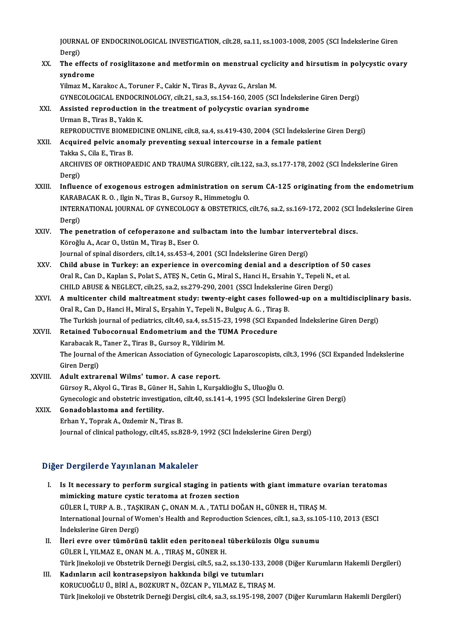JOURNAL OF ENDOCRINOLOGICAL INVESTIGATION, cilt.28, sa.11, ss.1003-1008, 2005 (SCI İndekslerine Giren<br>Persi JOURN<br>Dergi)<br>The of JOURNAL OF ENDOCRINOLOGICAL INVESTIGATION, cilt.28, sa.11, ss.1003-1008, 2005 (SCI İndekslerine Giren<br>Dergi)<br>XX. The effects of rosiglitazone and metformin on menstrual cyclicity and hirsutism in polycystic ovary<br>sundnome

Dergi)<br>The effects<br>syndrome<br><sup>Vilmor M. V</sup> The effects of rosiglitazone and metformin on menstrual cyclic<br>Syndrome<br>Yilmaz M., Karakoc A., Toruner F., Cakir N., Tiras B., Ayvaz G., Arslan M.<br>CYNECOLOCICAL ENDOCEINOLOCY, silt 21, sa 3, ss 154, 160, 2005 (SC)

s**yndrome**<br>Yilmaz M., Karakoc A., Toruner F., Cakir N., Tiras B., Ayvaz G., Arslan M.<br>GYNECOLOGICAL ENDOCRINOLOGY, cilt.21, sa.3, ss.154-160, 2005 (SCI İndekslerine Giren Dergi) Yilmaz M., Karakoc A., Toruner F., Cakir N., Tiras B., Ayvaz G., Arslan M.<br>GYNECOLOGICAL ENDOCRINOLOGY, cilt.21, sa.3, ss.154-160, 2005 (SCI İndeksleri<br>XXI. Assisted reproduction in the treatment of polycystic ovarian synd

## GYNECOLOGICAL ENDOCRI<br>Assisted reproduction in<br>Urman B., Tiras B., Yakin K.<br>REPRODUCTIVE PIOMEDIC Urman B., Tiras B., Yakin K.<br>REPRODUCTIVE BIOMEDICINE ONLINE, cilt.8, sa.4, ss.419-430, 2004 (SCI İndekslerine Giren Dergi) Urman B., Tiras B., Yakin K.<br>REPRODUCTIVE BIOMEDICINE ONLINE, cilt.8, sa.4, ss.419-430, 2004 (SCI İndekslerine<br>XXII. Acquired pelvic anomaly preventing sexual intercourse in a female patient<br>Takka S. Sila E. Tiras B.

## REPRODUCTIVE BIOMEN<br>Acquired pelvic anon<br>Takka S., Cila E., Tiras B.<br>APCHIVES OF OPTHOPA ARCHIVES OF ORTHOPAEDIC AND TRAUMA SURGERY, cilt.122, sa.3, ss.177-178, 2002 (SCI İndekslerine Giren<br>Dergi) Takka S., Cila E., Tiras B. ARCHIVES OF ORTHOPAEDIC AND TRAUMA SURGERY, cilt.122, sa.3, ss.177-178, 2002 (SCI Indekslerine Giren<br>Dergi)<br>XXIII. Influence of exogenous estrogen administration on serum CA-125 originating from the endometrium<br>KARARACAK B

- Dergi)<br>I<mark>nfluence of exogenous estrogen administration on se</mark>:<br>KARABACAK R. O. , Ilgin N., Tiras B., Gursoy R., Himmetoglu O.<br>INTERNATIONAL JOURNAL OF CYNECOLOCY & OBSTETPICS Influence of exogenous estrogen administration on serum CA-125 originating from the endometrium<br>KARABACAK R. O. , Ilgin N., Tiras B., Gursoy R., Himmetoglu O.<br>INTERNATIONAL JOURNAL OF GYNECOLOGY & OBSTETRICS, cilt.76, sa.2 KARAB<br>INTERI<br>Dergi)<br>The ne INTERNATIONAL JOURNAL OF GYNECOLOGY & OBSTETRICS, cilt.76, sa.2, ss.169-172, 2002 (SCI İ<br>Dergi)<br>XXIV. The penetration of cefoperazone and sulbactam into the lumbar intervertebral discs.
- Dergi)<br>The penetration of cefoperazone and sulbactam into the lumbar intervertebral discs.<br>Köroğlu A., Acar O., Ustün M., Tiraş B., Eser O. Journal of spinal disorders, cilt.14, ss.453-4, 2001 (SCI İndekslerine Giren Dergi)
- Köroğlu A., Acar O., Ustün M., Tiraş B., Eser O.<br>Journal of spinal disorders, cilt.14, ss.453-4, 2001 (SCI İndekslerine Giren Dergi)<br>XXV. Child abuse in Turkey: an experience in overcoming denial and a description of 50 ca Journal of spinal disorders, cilt.14, ss.453-4, 2001 (SCI İndekslerine Giren Dergi)<br>Child abuse in Turkey: an experience in overcoming denial and a description of 50<br>Oral R., Can D., Kaplan S., Polat S., ATEŞ N., Cetin G., Oral R., Can D., Kaplan S., Polat S., ATEŞ N., Cetin G., Miral S., Hanci H., Ersahin Y., Tepeli N., et al.<br>CHILD ABUSE & NEGLECT, cilt.25, sa.2, ss.279-290, 2001 (SSCI İndekslerine Giren Dergi) Oral R., Can D., Kaplan S., Polat S., ATEŞ N., Cetin G., Miral S., Hanci H., Ersahin Y., Tepeli N., et al.<br>CHILD ABUSE & NEGLECT, cilt.25, sa.2, ss.279-290, 2001 (SSCI İndekslerine Giren Dergi)<br>XXVI. A multicenter child ma
- CHILD ABUSE & NEGLECT, cilt.25, sa.2, ss.279-290, 2001 (SSCI İndekslerine<br>A multicenter child maltreatment study: twenty-eight cases follow<br>Oral R., Can D., Hanci H., Miral S., Erşahin Y., Tepeli N., Bulguç A. G., Tiraş B. A multicenter child maltreatment study: twenty-eight cases followed-up on a multidisciplina<br>Oral R., Can D., Hanci H., Miral S., Erşahin Y., Tepeli N., Bulguç A. G. , Tiraş B.<br>The Turkish journal of pediatrics, cilt.40, sa Oral R., Can D., Hanci H., Miral S., Erşahin Y., Tepeli N., Bulguç A. G., Tira:<br>The Turkish journal of pediatrics, cilt.40, sa.4, ss.515-23, 1998 (SCI Exp.<br>XXVII. Retained Tubocornual Endometrium and the TUMA Procedure<br>Kar
- The Turkish journal of pediatrics, cilt.40, sa.4, ss.515-2<br>Retained Tubocornual Endometrium and the TU<br>Karabacak R., Taner Z., Tiras B., Gursoy R., Yildirim M.<br>The Journal of the American Association of Cyneseles Retained Tubocornual Endometrium and the TUMA Procedure<br>Karabacak R., Taner Z., Tiras B., Gursoy R., Yildirim M.<br>The Journal of the American Association of Gynecologic Laparoscopists, cilt.3, 1996 (SCI Expanded İndekslerin Karabacak R.<br>The Journal c<br>Giren Dergi)<br>Adult extrel The Journal of the American Association of Gynecolo<br>Giren Dergi)<br>XXVIII. Adult extrarenal Wilms' tumor. A case report.<br>Günev B. Alutel G. Tines B. Günev H. Sabin L. Kungs
- Giren Dergi)<br>Adult extrarenal Wilms' tumor. A case report.<br>Gürsoy R., Akyol G., Tiras B., Güner H., Sahin I., Kurşaklioğlu S., Uluoğlu O.<br>Curesplagis and obstetris investigation, silt 40, ss 141 4, 1995 (SCL İndek Adult extrarenal Wilms' tumor. A case report.<br>Gürsoy R., Akyol G., Tiras B., Güner H., Sahin I., Kurşaklioğlu S., Uluoğlu O.<br>Gynecologic and obstetric investigation, cilt.40, ss.141-4, 1995 (SCI İndekslerine Giren Dergi)<br>C Gürsoy R., Akyol G., Tiras B., Güne:<br>Gynecologic and obstetric investig<br>XXIX. Gonadoblastoma and fertility. Gynecologic and obstetric investigation,<br>**Gonadoblastoma and fertility.**<br>Erhan Y., Toprak A., Ozdemir N., Tiras B.<br>Journal of clinical pathology, silt 45, cs 8.

```
Gonadoblastoma and fertility.<br>Erhan Y., Toprak A., Ozdemir N., Tiras B.<br>Journal of clinical pathology, cilt.45, ss.828-9, 1992 (SCI İndekslerine Giren Dergi)
```
### Diğer Dergilerde Yayınlanan Makaleler

- Iger Dergilerde Yayınlanan Makaleler<br>I. Is It necessary to perform surgical staging in patients with giant immature ovarian teratomas<br>mimisking mature systic teratoma at fragan section I Bergherde ruy intuitan mandreter<br>Is It necessary to perform surgical staging in patien<br>mimicking mature cystic teratoma at frozen section<br>CULED L TURD A B TASKIBAN C ONAN M A TATLLDO Is It necessary to perform surgical staging in patients with giant immature of mimicking mature cystic teratoma at frozen section<br>GÜLER İ., TURP A. B. , TAŞKIRAN Ç., ONAN M. A. , TATLI DOĞAN H., GÜNER H., TIRAŞ M.<br>Internat mimicking mature cystic teratoma at frozen section<br>GÜLER İ., TURP A. B. , TAŞKIRAN Ç., ONAN M. A. , TATLI DOĞAN H., GÜNER H., TIRAŞ M.<br>International Journal of Women's Health and Reproduction Sciences, cilt.1, sa.3, ss.105 İndekslerine Giren Dergi) International Journal of Women's Health and Reproduction Sciences, cilt.1, sa.3, ss.10<br>
Indekslerine Giren Dergi)<br>
II. İleri evre over tümörünü taklit eden peritoneal tüberkülozis Olgu sunumu<br>
CÜLER İ. YU MAZE ONAN M.A. İndekslerine Giren Dergi)<br>İleri evre over tümörünü taklit eden peritoneal<br>GÜLER İ., YILMAZ E., ONAN M. A. , TIRAŞ M., GÜNER H.<br>Türk linekeleji ve Obstetrik Derneği Dergisi, silt 5, se 2
- GÜLER İ., YILMAZ E., ONAN M. A. , TIRAŞ M., GÜNER H.<br>Türk Jinekoloji ve Obstetrik Derneği Dergisi, cilt.5, sa.2, ss.130-133, 2008 (Diğer Kurumların Hakemli Dergileri) GÜLER İ., YILMAZ E., ONAN M. A. , TIRAŞ M., GÜNER H.<br>Türk Jinekoloji ve Obstetrik Derneği Dergisi, cilt.5, sa.2, ss.130-133,<br>III. Kadınların acil kontrasepsiyon hakkında bilgi ve tutumları<br>KORUCUQĞLU Ü. BİRİ A. BOZKURT N.

## Türk Jinekoloji ve Obstetrik Derneği Dergisi, cilt.5, sa.2, ss.130-133, 20)<br>Kadınların acil kontrasepsiyon hakkında bilgi ve tutumları<br>KORUCUOĞLU Ü., BİRİ A., BOZKURT N., ÖZCAN P., YILMAZ E., TIRAŞ M.<br>Türk linekeleji ve Ob KORUCUOĞLU Ü., BİRİ A., BOZKURT N., ÖZCAN P., YILMAZ E., TIRAŞ M.<br>Türk Jinekoloji ve Obstetrik Derneği Dergisi, cilt.4, sa.3, ss.195-198, 2007 (Diğer Kurumların Hakemli Dergileri)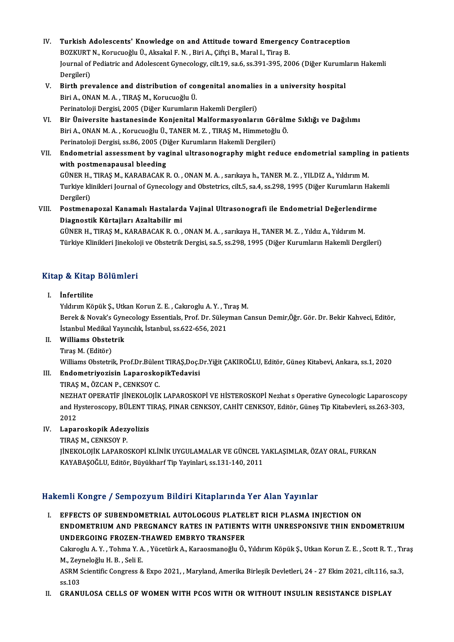- IV. Turkish Adolescents' Knowledge on and Attitude toward Emergency Contraception Turkish Adolescents' Knowledge on and Attitude toward Emergen<br>BOZKURT N., Korucuoğlu Ü., Aksakal F. N. , Biri A., Çiftçi B., Maral I., Tiraş B.<br>Journal of Bodistris and Adolessent Cynesalegy, silt 19, se 6, se 291, 295, 29 Turkish Adolescents' Knowledge on and Attitude toward Emergency Contraception<br>BOZKURT N., Korucuoğlu Ü., Aksakal F. N. , Biri A., Çiftçi B., Maral I., Tiraş B.<br>Journal of Pediatric and Adolescent Gynecology, cilt.19, sa.6, BOZKURT N., Korucuoğlu Ü., Aksakal F. N. , Biri A., Çiftçi B., Maral I., Tiraş B.<br>Journal of Pediatric and Adolescent Gynecology, cilt.19, sa.6, ss.391-395, 2006 (Diğer Kurumların Hakemli<br>Dergileri) Journal of Pediatric and Adolescent Gynecology, cilt.19, sa.6, ss.391-395, 2006 (Diğer Kuruml<br>Dergileri)<br>V. Birth prevalence and distribution of congenital anomalies in a university hospital<br>Piri A. ONAN M. A. TIPAS M. Kor
- Dergileri)<br>Birth prevalence and distribution of co:<br>Biri A., ONAN M. A. , TIRAŞ M., Korucuoğlu Ü.<br>Perinateleji Dergisi 2005 (Diğer Kurumların Birth prevalence and distribution of congenital anomalie<br>Biri A., ONAN M. A. , TIRAŞ M., Korucuoğlu Ü.<br>Perinatoloji Dergisi, 2005 (Diğer Kurumların Hakemli Dergileri)<br>Pir Üniversite bastanesinde Konienital Malformasyonları Biri A., ONAN M. A. , TIRAŞ M., Korucuoğlu Ü.<br>Perinatoloji Dergisi, 2005 (Diğer Kurumların Hakemli Dergileri)<br>VI. Bir Üniversite hastanesinde Konjenital Malformasyonların Görülme Sıklığı ve Dağılımı
- Perinatoloji Dergisi, 2005 (Diğer Kurumların Hakemli Dergileri)<br>Bir Üniversite hastanesinde Konjenital Malformasyonların Görüln<br>Biri A., ONAN M. A. , Korucuoğlu Ü., TANER M. Z. , TIRAŞ M., Himmetoğlu Ö.<br>Perinatoloji Dergis Bir Üniversite hastanesinde Konjenital Malformasyonların Gör<br>Biri A., ONAN M. A. , Korucuoğlu Ü., TANER M. Z. , TIRAŞ M., Himmetoğlu<br>Perinatoloji Dergisi, ss.86, 2005 (Diğer Kurumların Hakemli Dergileri)<br>Endemetrial assess Biri A., ONAN M. A. , Korucuoğlu Ü., TANER M. Z. , TIRAŞ M., Himmetoğlu Ö.<br>Perinatoloji Dergisi, ss.86, 2005 (Diğer Kurumların Hakemli Dergileri)<br>VII. Endometrial assessment by vaginal ultrasonography might reduce endo
- Perinatoloji Dergisi, ss.86, 2005 (Diğer Kurumların Hakemli Dergileri)<br>Endometrial assessment by vaginal ultrasonography might reduce endometrial sampling<br>with postmenapausal bleeding<br>GÜNER H., TIRAŞ M., KARABACAK R. O. , Endometrial assessment by vaginal ultrasonography might reduce endometrial sampling<br>with postmenapausal bleeding<br>GÜNER H., TIRAŞ M., KARABACAK R. O. , ONAN M. A. , sarıkaya h., TANER M. Z. , YILDIZ A., Yıldırım M.<br>Turkiye with postmenapausal bleeding<br>GÜNER H., TIRAŞ M., KARABACAK R. O. , ONAN M. A. , sarıkaya h., TANER M. Z. , YILDIZ A., Yıldırım M.<br>Turkiye klinikleri Journal of Gynecology and Obstetrics, cilt.5, sa.4, ss.298, 1995 (Diğer K GÜNER H.,<br>Turkiye kli<br>Dergileri)<br>Bestmans Turkiye klinikleri Journal of Gynecology and Obstetrics, cilt.5, sa.4, ss.298, 1995 (Diğer Kurumların Hake<br>Dergileri)<br>VIII. Postmenapozal Kanamalı Hastalarda Vajinal Ultrasonografi ile Endometrial Değerlendirme<br>Disanestik
- Dergileri)<br>Postmenapozal Kanamalı Hastalard<br>Diagnostik Kürtajları Azaltabilir mi<br>CÜNER H. TIRAS M. KARARACAK R.O. Postmenapozal Kanamalı Hastalarda Vajinal Ultrasonografi ile Endometrial Değerlendir<br>Diagnostik Kürtajları Azaltabilir mi<br>GÜNER H., TIRAŞ M., KARABACAK R. O. , ONAN M. A. , sarıkaya H., TANER M. Z. , Yıldız A., Yıldırım M.

Diagnostik Kürtajları Azaltabilir mi<br>GÜNER H., TIRAŞ M., KARABACAK R. O. , ONAN M. A. , sarıkaya H., TANER M. Z. , Yıldız A., Yıldırım M.<br>Türkiye Klinikleri Jinekoloji ve Obstetrik Dergisi, sa.5, ss.298, 1995 (Diğer Kuruml

# rurkiye Kiinikieri jinekolo<br>Kitap & Kitap Bölümleri itap & Kitap<br>I. İnfertilite<br>Viduum <sup>Kö</sup>

I. İnfertilite<br>Yıldırım Köpük Ş., Utkan Korun Z. E. , Cakıroglu A.Y. , Tıraş M.

İnfertilite<br>Yıldırım Köpük Ş., Utkan Korun Z. E. , Cakıroglu A. Y. , Tıraş M.<br>Berek & Novak's Gynecology Essentials, Prof. Dr. Süleyman Cansun Demir,Öğr. Gör. Dr. Bekir Kahveci, Editör,<br>İstanbul Modikal Yaynellik, İstanbul Yıldırım Köpük Ş., Utkan Korun Z. E. , Cakıroglu A. Y. , Ti<br>Berek & Novak's Gynecology Essentials, Prof. Dr. Süley<br>İstanbul Medikal Yayıncılık, İstanbul, ss.622-656, 2021<br>Williama Obstatril. Berek & Novak's Gyne<br>Istanbul Medikal Yayı<br>II. Williams Obstetrik<br>Tuge M. (Editän) İstanbul Medikal<br>Willi<mark>ams Obstet</mark><br>Tıraş M. (Editör)<br><sup>Williams Obstetril</sup>

- -

Williams Obstetrik<br>Tıraş M. (Editör)<br>Williams Obstetrik, Prof.Dr.Bülent TIRAŞ,Doç.Dr.Yiğit ÇAKIROĞLU, Editör, Güneş Kitabevi, Ankara, ss.1, 2020<br>Endometriyazisin JapaneskanikTedevisi Williams Obstetrik, Prof.Dr.Bülen<br>Endometriyozisin Laparosko<br>TIRAŞ M., ÖZCAN P., CENKSOY C.<br>NEZHAT OPERATİE UNEKOLOUK

# Tıraş M. (Editör)<br>Williams Obstetrik, Prof.Dr.Bülent TIRAŞ,Doç.I<br>III. Endometriyozisin LaparoskopikTedavisi<br>TIRAS M., ÖZCAN P., CENKSOY C.

NEZHAT OPERATİF JİNEKOLOJİK LAPAROSKOPİ VE HİSTEROSKOPİ Nezhat s Operative Gynecologic Laparoscopy TIRAŞ M., ÖZCAN P., CENKSOY C.<br>NEZHAT OPERATİF JİNEKOLOJİK LAPAROSKOPİ VE HİSTEROSKOPİ Nezhat s Operative Gynecologic Laparoscopy<br>and Hysteroscopy, BÜLENT TIRAŞ, PINAR CENKSOY, CAHİT CENKSOY, Editör, Güneş Tip Kitabevleri, NEZH.<br>and H<sub>.</sub><br>2012 and Hysteroscopy, BÜLENT T<br>2012<br>IV. Laparoskopik Adezyolizis<br>TIPAS M. CENKSOV P

2012<br>Laparoskopik Adezy<br>TIRAŞ M., CENKSOY P.<br>UNEKOLOUK LABARO TIRAŞ M., CENKSOY P.<br>JİNEKOLOJİK LAPAROSKOPİ KLİNİK UYGULAMALAR VE GÜNCEL YAKLAŞIMLAR, ÖZAY ORAL, FURKAN KAYABAŞOĞLU, Editör, Büyükharf Tip Yayinlari, ss.131-140, 2011

### Hakemli Kongre / Sempozyum Bildiri Kitaplarında Yer Alan Yayınlar

akemli Kongre / Sempozyum Bildiri Kitaplarında Yer Alan Yayınlar<br>I. EFFECTS OF SUBENDOMETRIAL AUTOLOGOUS PLATELET RICH PLASMA INJECTION ON<br>ENDOMETRIUM AND RRECNANCY RATES IN RATIENTS WITH UNRESPONSIVE THIN END ENDOMETRIUMAND PREGNANCY RATES IN PATIENTSWITH UNRESPONSIVE THIN ENDOMETRIUM EFFECTS OF SUBENDOMETRIAL AUTOLOGOUS PLATEI<br>ENDOMETRIUM AND PREGNANCY RATES IN PATIENT:<br>UNDERGOING FROZEN-THAWED EMBRYO TRANSFER<br>Caluradu A V. Tahma V.A. Vüsstürk A. Kanasmanağlı Ö. Cakıroglu A.Y. , Tohma Y. A. , Yücetürk A., Karaosmanoğlu Ö., Yıldırım Köpük Ş., Utkan Korun Z. E. , Scott R.T. , Tıraş<br>M., Zeyneloğlu H. B. , Seli E. UNDERGOING FROZEN-THAWED EMBRYO TRANSFER Cakıroglu A. Y. , Tohma Y. A. , Yücetürk A., Karaosmanoğlu Ö., Yıldırım Köpük Ş., Utkan Korun Z. E. , Scott R. T. , Tı<br>M., Zeyneloğlu H. B. , Seli E.<br>ASRM Scientific Congress & Expo 2021, , Maryland, Amerika Birleşik Devle

M., Zey<br>ASRM S<br>ss.103<br>CRANI ASRM Scientific Congress & Expo 2021, , Maryland, Amerika Birleşik Devletleri, 24 - 27 Ekim 2021, cilt.116, s<br>ss.103<br>II. GRANULOSA CELLS OF WOMEN WITH PCOS WITH OR WITHOUT INSULIN RESISTANCE DISPLAY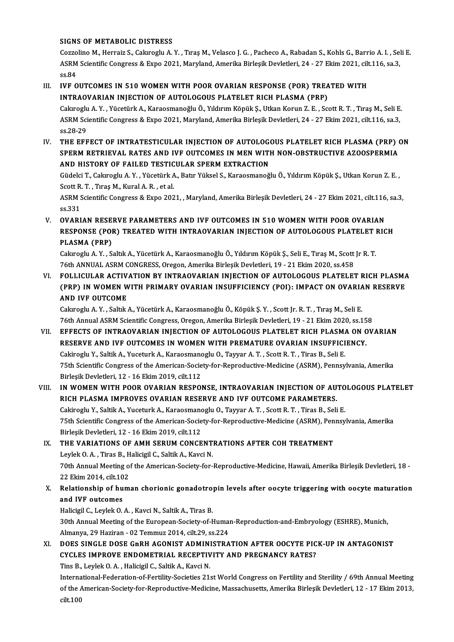### SIGNS OF METABOLIC DISTRESS

SIGNS OF METABOLIC DISTRESS<br>Cozzolino M., Herraiz S., Cakıroglu A.Y. , Tıraş M., Velasco J. G. , Pacheco A., Rabadan S., Kohls G., Barrio A. I. , Seli E.<br>ASPM Scientific Congress & Euro 2021, Maryland, Amerika Birlosik Dev SIGNS OF METABOLIC DISTRESS<br>Cozzolino M., Herraiz S., Cakıroglu A. Y. , Tıraş M., Velasco J. G. , Pacheco A., Rabadan S., Kohls G., Barrio A. I. , Sel<br>ASRM Scientific Congress & Expo 2021, Maryland, Amerika Birleşik Devlet Cozzo<br>ASRM<br>ss.84<br>ive o ASRM Scientific Congress & Expo 2021, Maryland, Amerika Birleşik Devletleri, 24 - 27 Ekim 2021, cilt.116, sa.3,<br>ss.84<br>III. IVF OUTCOMES IN 510 WOMEN WITH POOR OVARIAN RESPONSE (POR) TREATED WITH

## INTRAOVARIAN INJECTION OF AUTOLOGOUS PLATELET RICH PLASMA (PRP) IVF OUTCOMES IN 510 WOMEN WITH POOR OVARIAN RESPONSE (POR) TREATED WITH<br>INTRAOVARIAN INJECTION OF AUTOLOGOUS PLATELET RICH PLASMA (PRP)<br>Cakıroglu A.Y., Yücetürk A., Karaosmanoğlu Ö., Yıldırım Köpük Ş., Utkan Korun Z. E. ,

INTRAOVARIAN INJECTION OF AUTOLOGOUS PLATELET RICH PLASMA (PRP)<br>Cakıroglu A. Y. , Yücetürk A., Karaosmanoğlu Ö., Yıldırım Köpük Ş., Utkan Korun Z. E. , Scott R. T. , Tıraş M., Seli E<br>ASRM Scientific Congress & Expo 2021, M Cakiroglu<br>ASRM Sci<br>ss.28-29<br>тив вве INTRATESTICULAR INJECTION OF AUTOLOGOUS PLATELET RICH PLASMA (PRP) ON SPEPER BETPLEYAL BATES AND IVE OUTCOMES IN MEN WITH NON OBSTRUCTIVE AZOOSPEPMIA

<sub>SS.28-29</sub><br>THE EFFECT OF INTRATESTICULAR INJECTION OF AUTOLOGOUS PLATELET RICH PLASMA (PRP) (<br>SPERM RETRIEVAL RATES AND IVF OUTCOMES IN MEN WITH NON-OBSTRUCTIVE AZOOSPERMIA<br>AND HISTORY OF FAJLED TESTICIJI AR SPERM EXTRACTI THE EFFECT OF INTRATESTICULAR INJECTION OF AUTOLOG<br>SPERM RETRIEVAL RATES AND IVF OUTCOMES IN MEN WITI<br>AND HISTORY OF FAILED TESTICULAR SPERM EXTRACTION<br>Cüdelei T. Celareslu A. V., Vüestürk A. Petr Vülsel S. Karassmaneğ SPERM RETRIEVAL RATES AND IVF OUTCOMES IN MEN WITH NON-OBSTRUCTIVE AZOOSPERMIA<br>AND HISTORY OF FAILED TESTICULAR SPERM EXTRACTION<br>Güdelci T., Cakıroglu A.Y., Yücetürk A., Batır Yüksel S., Karaosmanoğlu Ö., Yıldırım Köpük Ş.

AND HISTORY OF FAILED TESTIC<br>Güdelci T., Cakıroglu A.Y. , Yücetürk A<br>Scott R. T. , Tıraş M., Kural A. R. , et al.<br>ASPM Scientific Congress & Erne 202

ASRM Scientific Congress & Expo 2021, , Maryland, Amerika Birleşik Devletleri, 24 - 27 Ekim 2021, cilt.116, sa.3,<br>ss.331 Scott R.<br>ASRM S<br>ss.331<br>OVAPI SRM Scientific Congress & Expo 2021, , Maryland, Amerika Birleşik Devletleri, 24 - 27 Ekim 2021, cilt.116<br>ss.331<br>V. OVARIAN RESERVE PARAMETERS AND IVF OUTCOMES IN 510 WOMEN WITH POOR OVARIAN

<sub>SS.331</sub><br>OVARIAN RESERVE PARAMETERS AND IVF OUTCOMES IN 510 WOMEN WITH POOR OVARIAN<br>RESPONSE (POR) TREATED WITH INTRAOVARIAN INJECTION OF AUTOLOGOUS PLATELET RICH<br>RLASMA (RRR) OVARIAN RESE<br>RESPONSE (POI<br>PLASMA (PRP)<br>Celarechi A.V. S RESPONSE (POR) TREATED WITH INTRAOVARIAN INJECTION OF AUTOLOGOUS PLATELET |<br>PLASMA (PRP)<br>Cakıroglu A.Y., Saltık A., Yücetürk A., Karaosmanoğlu Ö., Yıldırım Köpük Ş., Seli E., Tıraş M., Scott Jr R. T.<br>76th ANNIJAL ASPM CONC

PLASMA (PRP)<br>Cakıroglu A. Y. , Saltık A., Yücetürk A., Karaosmanoğlu Ö., Yıldırım Köpük Ş., Seli E., Tıraş M., Scott Jr R. T<br>76th ANNUAL ASRM CONGRESS, Oregon, Amerika Birleşik Devletleri, 19 - 21 Ekim 2020, ss.458

VI. FOLLICULAR ACTIVATION BY INTRAOVARIAN INJECTION OF AUTOLOGOUS PLATELET RICH PLASMA 76th ANNUAL ASRM CONGRESS, Oregon, Amerika Birleşik Devletleri, 19 - 21 Ekim 2020, ss.458<br>FOLLICULAR ACTIVATION BY INTRAOVARIAN INJECTION OF AUTOLOGOUS PLATELET RICH PLASMA<br>(PRP) IN WOMEN WITH PRIMARY OVARIAN INSUFFICIENCY FOLLICULAR ACTIV<br>(PRP) IN WOMEN W<br>AND IVF OUTCOME (PRP) IN WOMEN WITH PRIMARY OVARIAN INSUFFICIENCY (POI): IMPACT ON OVARIA<br>AND IVF OUTCOME<br>Cakıroglu A.Y., Saltık A., Yücetürk A., Karaosmanoğlu Ö., Köpük Ş.Y., Scott Jr. R. T., Tıraş M., Seli E.<br>76th Annual ASPM Scientific

AND IVF OUTCOME<br>Cakıroglu A. Y. , Saltık A., Yücetürk A., Karaosmanoğlu Ö., Köpük Ş. Y. , Scott Jr. R. T. , Tıraş M., Seli E.<br>76th Annual ASRM Scientific Congress, Oregon, Amerika Birleşik Devletleri, 19 - 21 Ekim 2020, ss

### Cakıroglu A. Y. , Saltık A., Yücetürk A., Karaosmanoğlu Ö., Köpük Ş. Y. , Scott Jr. R. T. , Tıraş M., Seli E.<br>76th Annual ASRM Scientific Congress, Oregon, Amerika Birleşik Devletleri, 19 - 21 Ekim 2020, ss.158<br>VII. EFFECT 76th Annual ASRM Scientific Congress, Oregon, Amerika Birleşik Devletleri, 19 - 21 Ekim 2020, ss.15<br>EFFECTS OF INTRAOVARIAN INJECTION OF AUTOLOGOUS PLATELET RICH PLASMA ON C<br>RESERVE AND IVF OUTCOMES IN WOMEN WITH PREMATURE EFFECTS OF INTRAOVARIAN INJECTION OF AUTOLOGOUS PLATELET RICH PLASM.<br>RESERVE AND IVF OUTCOMES IN WOMEN WITH PREMATURE OVARIAN INSUFFICI<br>Cakiroglu Y., Saltik A., Yuceturk A., Karaosmanoglu O., Tayyar A.T. , Scott R.T. , Tir 75th Scientific Congress of the American-Society-for-Reproductive-Medicine (ASRM), Pennsylvania, Amerika<br>Birlesik Devletleri, 12 - 16 Ekim 2019, cilt.112 Cakiroglu Y., Saltik A., Yuceturk A., Karaosmano<br>75th Scientific Congress of the American-Socie<br>Birleşik Devletleri, 12 - 16 Ekim 2019, cilt.112<br>IN WOMEN WITH BOOP OVAPIAN PESPOL T5th Scientific Congress of the American-Society-for-Reproductive-Medicine (ASRM), Pennsylvania, Amerika<br>Birleşik Devletleri, 12 - 16 Ekim 2019, cilt.112<br>VIII. IN WOMEN WITH POOR OVARIAN RESPONSE, INTRAOVARIAN INJECTION OF

Birleşik Devletleri, 12 - 16 Ekim 2019, cilt.112<br>IN WOMEN WITH POOR OVARIAN RESPONSE, INTRAOVARIAN INJECTION OF AU<br>RICH PLASMA IMPROVES OVARIAN RESERVE AND IVF OUTCOME PARAMETERS.<br>Celtinosly Y. Seltik A. Yussturk A. Karees IN WOMEN WITH POOR OVARIAN RESPONSE, INTRAOVARIAN INJECTION OF AUTO<br>RICH PLASMA IMPROVES OVARIAN RESERVE AND IVF OUTCOME PARAMETERS.<br>Cakiroglu Y., Saltik A., Yuceturk A., Karaosmanoglu O., Tayyar A.T. , Scott R.T. , Tiras RICH PLASMA IMPROVES OVARIAN RESERVE AND IVF OUTCOME PARAMETERS.<br>Cakiroglu Y., Saltik A., Yuceturk A., Karaosmanoglu O., Tayyar A. T. , Scott R. T. , Tiras B., Seli E.<br>75th Scientific Congress of the American-Society-for-R Cakiroglu Y., Saltik A., Yuceturk A., Karaosmano<br>75th Scientific Congress of the American-Socie<br>Birleşik Devletleri, 12 - 16 Ekim 2019, cilt.112<br>THE VARIATIONS OF AMH SERIIM CONCE 75th Scientific Congress of the American-Society-for-Reproductive-Medicine (ASRM), Pen<br>Birleşik Devletleri, 12 - 16 Ekim 2019, cilt.112<br>IX. THE VARIATIONS OF AMH SERUM CONCENTRATIONS AFTER COH TREATMENT

## Birleşik Devletleri, 12 - 16 Ekim 2019, cilt.112<br>THE VARIATIONS OF AMH SERUM CONCENT<br>Leylek O.A., Tiras B., Halicigil C., Saltik A., Kavci N. THE VARIATIONS OF AMH SERUM CONCENTRATIONS AFTER COH TREATMENT<br>Leylek O. A. , Tiras B., Halicigil C., Saltik A., Kavci N.<br>70th Annual Meeting of the American-Society-for-Reproductive-Medicine, Hawaii, Amerika Birleşik Devl Leylek O. A. , Tiras B., H<br>70th Annual Meeting o<br>22 Ekim 2014, cilt.102<br>Belationshin of hum Toth Annual Meeting of the American-Society-for-Reproductive-Medicine, Hawaii, Amerika Birleşik Devletleri, 18<br>22 Ekim 2014, cilt.102<br>X. Relationship of human chorionic gonadotropin levels after oocyte triggering with oocy

## 22 Ekim 2014, cilt.10<br>Relationship of hu<br>and IVF outcomes Relationship of human chorionic gonadotro<br>and IVF outcomes<br>Halicigil C., Leylek O.A. , Kavci N., Saltik A., Tiras B.<br>20th Annual Meeting of the European Society of L

and IVF outcomes<br>Halicigil C., Leylek O. A. , Kavci N., Saltik A., Tiras B.<br>30th Annual Meeting of the European-Society-of-Human-Reproduction-and-Embryology (ESHRE), Munich,<br>Almanya, 30 Hariran, .03 Temmur 3014, silt 29, s Halicigil C., Leylek O. A. , Kavci N., Saltik A., Tiras B.<br>30th Annual Meeting of the European-Society-of-Humai<br>Almanya, 29 Haziran - 02 Temmuz 2014, cilt.29, ss.224<br>DOES SINGLE DOSE CRPH ACONIST ADMINISTRA 30th Annual Meeting of the European-Society-of-Human-Reproduction-and-Embryology (ESHRE), Munich,<br>Almanya, 29 Haziran - 02 Temmuz 2014, cilt.29, ss.224<br>XI. DOES SINGLE DOSE GNRH AGONIST ADMINISTRATION AFTER OOCYTE PICK-UP

Almanya, 29 Haziran - 02 Temmuz 2014, cilt.29, ss.224<br>DOES SINGLE DOSE GnRH AGONIST ADMINISTRATION AFTER OOCYTE PIC<br>CYCLES IMPROVE ENDOMETRIAL RECEPTIVITY AND PREGNANCY RATES?<br>Ting B. Loylek O. A., Haligigil C. Soltik A., DOES SINGLE DOSE GnRH AGONIST ADMINI<br>CYCLES IMPROVE ENDOMETRIAL RECEPTIV<br>Tins B., Leylek O. A. , Halicigil C., Saltik A., Kavci N.

Tins B., Leylek O. A. , Halicigil C., Saltik A., Kavci N.<br>International-Federation-of-Fertility-Societies 21st World Congress on Fertility and Sterility / 69th Annual Meeting Tins B., Leylek O. A. , Halicigil C., Saltik A., Kavci N.<br>International-Federation-of-Fertility-Societies 21st World Congress on Fertility and Sterility / 69th Annual Meeting<br>of the American-Society-for-Reproductive-Medici Interna<br>of the *l*<br>cilt.100